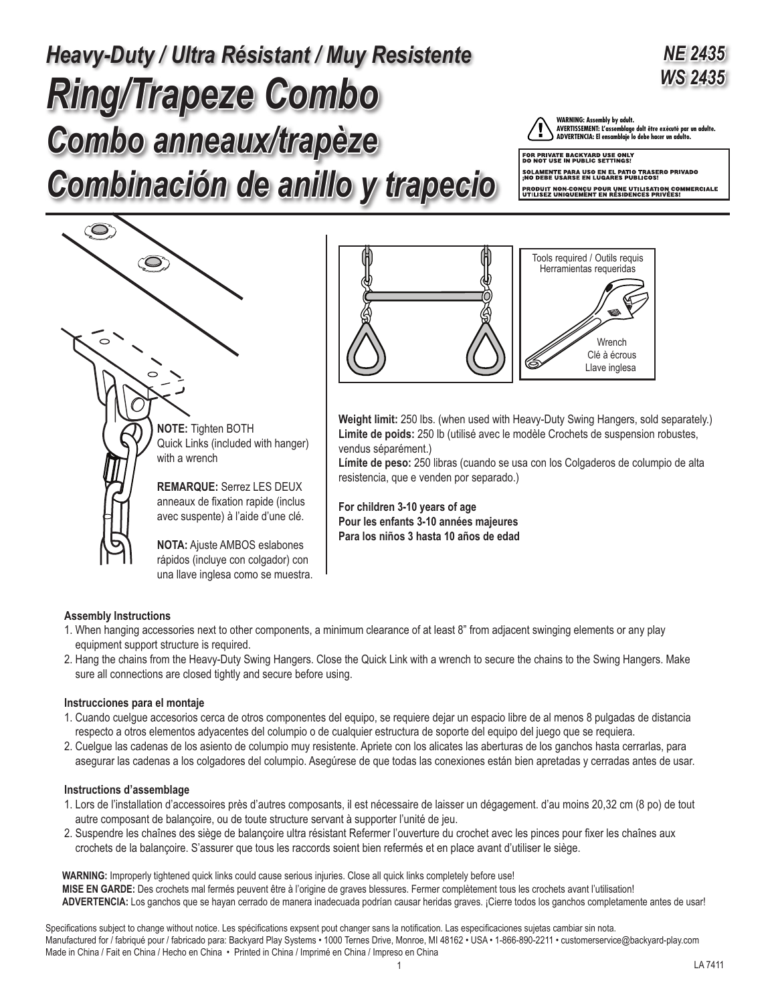# *Ring/Trapeze Combo Combo anneaux/trapèze Combinación de anillo y trapecio Heavy-Duty / Ultra Résistant / Muy Resistente*

# *NE 2435* **WS 2435 ADVERTENCIA: El ensamblaje lo debe hacer un adulto.**

WARNING: Assembly by adult.<br>AVERTISSEMENT: L'assemblage dolt être exécuté par un adulte.<br>ADVERTENCIA: El ensamblaje lo debe hacer un adulto.

FOR PRIVATE BACKYARD USE ONLY<br>DO NOT USE IN PUBLIC SETTINGS! SOLAMENTE PARA USO EN EL PATIO TRASERO PRIVADO<br>¡NO DEBE USARSE EN LUGARES PUBLICOS! PRODUIT NON-CONÇU POUR UNE UTILISATION COMMERCIALE<br>UTILISEZ UNIQUEMENT EN RÉSIDENCES PRIVÉES!





**Weight limit:** 250 lbs. (when used with Heavy-Duty Swing Hangers, sold separately.) **Limite de poids:** 250 lb (utilisé avec le modèle Crochets de suspension robustes, vendus séparément.)

**Límite de peso:** 250 libras (cuando se usa con los Colgaderos de columpio de alta resistencia, que e venden por separado.)

**For children 3-10 years of age Pour les enfants 3-10 années majeures Para los niños 3 hasta 10 años de edad** 

# **Assembly Instructions**

- 1. When hanging accessories next to other components, a minimum clearance of at least 8" from adjacent swinging elements or any play equipment support structure is required.
- 2. Hang the chains from the Heavy-Duty Swing Hangers. Close the Quick Link with a wrench to secure the chains to the Swing Hangers. Make sure all connections are closed tightly and secure before using.

# **Instrucciones para el montaje**

- 1. Cuando cuelgue accesorios cerca de otros componentes del equipo, se requiere dejar un espacio libre de al menos 8 pulgadas de distancia respecto a otros elementos adyacentes del columpio o de cualquier estructura de soporte del equipo del juego que se requiera.
- 2. Cuelgue las cadenas de los asiento de columpio muy resistente. Apriete con los alicates las aberturas de los ganchos hasta cerrarlas, para asegurar las cadenas a los colgadores del columpio. Asegúrese de que todas las conexiones están bien apretadas y cerradas antes de usar.

# **Instructions d'assemblage**

- 1. Lors de l'installation d'accessoires près d'autres composants, il est nécessaire de laisser un dégagement. d'au moins 20,32 cm (8 po) de tout autre composant de balançoire, ou de toute structure servant à supporter l'unité de jeu.
- 2. Suspendre les chaînes des siège de balançoire ultra résistant Refermer l'ouverture du crochet avec les pinces pour fixer les chaînes aux crochets de la balançoire. S'assurer que tous les raccords soient bien refermés et en place avant d'utiliser le siège.

**WARNING:** Improperly tightened quick links could cause serious injuries. Close all quick links completely before use! **MISE EN GARDE:** Des crochets mal fermés peuvent être à l'origine de graves blessures. Fermer complètement tous les crochets avant l'utilisation! **ADVERTENCIA:** Los ganchos que se hayan cerrado de manera inadecuada podrían causar heridas graves. ¡Cierre todos los ganchos completamente antes de usar!

Specifications subject to change without notice. Les spécifications expsent pout changer sans la notification. Las especificaciones sujetas cambiar sin nota. Manufactured for / fabriqué pour / fabricado para: Backyard Play Systems • 1000 Ternes Drive, Monroe, MI 48162 • USA • 1-866-890-2211 • customerservice@backyard-play.com Made in China / Fait en China / Hecho en China • Printed in China / Imprimé en China / Impreso en China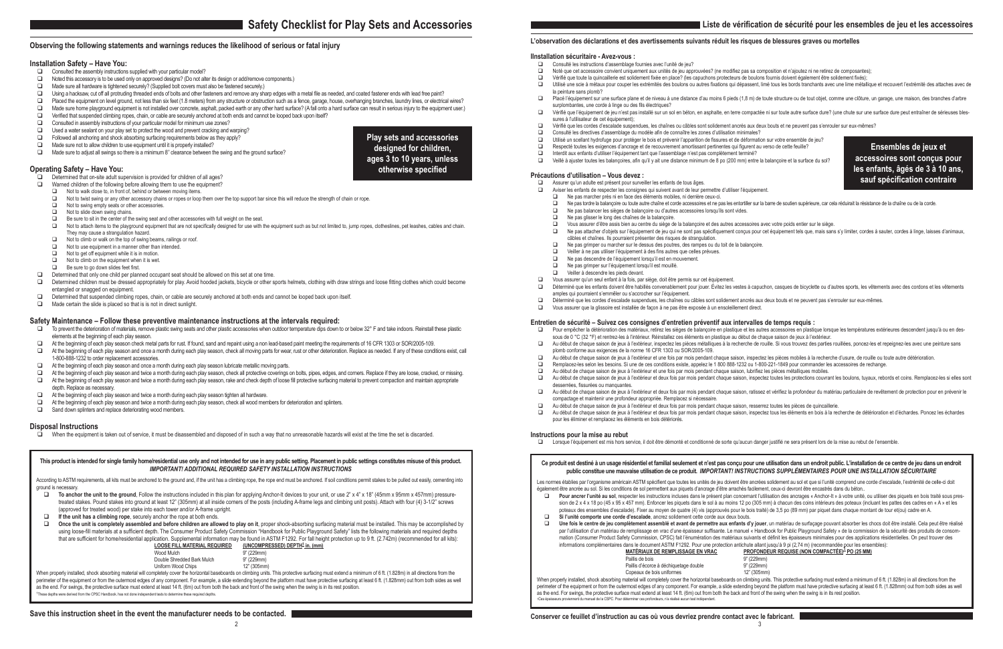# **Observing the following statements and warnings reduces the likelihood of serious or fatal injury**

## **Installation Safety – Have You:**

- $\Box$  Consulted the assembly instructions supplied with your particular model?<br> $\Box$  Noted this accessory is to be used only on approved designs? (Do not alternally)
- $\Box$  Noted this accessory is to be used only on approved designs? (Do not alter its design or add/remove components.)<br> $\Box$  Made sure all hardware is tightened securely? (Supplied bolt covers must also be fastened securely
- Made sure all hardware is tightened securely? (Supplied bolt covers must also be fastened securely.)
- □ Using a hacksaw, cut off all protruding threaded ends of bolts and other fasteners and remove any sharp edges with a metal file as needed, and coated fastener ends with lead free paint?
- Placed the equipment on level ground, not less than six feet (1.8 meters) from any structure or obstruction such as a fence, garage, house, overhanging branches, laundry lines, or electrical wires?<br>Made sure home playorou
- $\Box$  Made sure home playground equipment is not installed over concrete, asphalt, packed earth or any other hard surface? (A fall onto a hard surface can result in serious injury to the equipment user.)<br>  $\Box$  Verified tha
- Verified that suspended climbing ropes, chain, or cable are securely anchored at both ends and cannot be looped back upon itself?
- $\Box$  Consulted in assembly instructions of your particular model for minimum use zones?<br> $\Box$  Used a water sealant on your play set to protect the wood and prevent cracking and w
- Used a water sealant on your play set to protect the wood and prevent cracking and warping?
- $\Box$  Followed all anchoring and shock absorbing surfacing requirements below as they apply?
- $\Box$  Made sure not to allow children to use equipment until it is properly installed?
- □ Made sure to adjust all swings so there is a minimum 8" clearance between the swing and the ground surface?

## **Operating Safety – Have You:**

- Determined that on-site adult supervision is provided for children of all ages?<br>
D Warned children of the following before allowing them to use the equipment?
- Warned children of the following before allowing them to use the equipment?
- $\Box$  Not to walk close to, in front of, behind or between moving items.<br>Not to twist swing or any other accessory chains or ropes or loop.
- Not to twist swing or any other accessory chains or ropes or loop them over the top support bar since this will reduce the strength of chain or rope.
- Not to swing empty seats or other accessories.
- Not to slide down swing chains.
- $\Box$  Be sure to sit in the center of the swing seat and other accessories with full weight on the seat.<br>Dylot to attach items to the playoround equipment that are not specifically designed for use with the
- Not to attach items to the playground equipment that are not specifically designed for use with the equipment such as but not limited to, jump ropes, clotheslines, pet leashes, cables and chain. They may cause a strangulation hazard.
- $\Box$  Not to climb or walk on the top of swing beams, railings or roof.<br> $\Box$  Not to use equipment in a manner other than intended
- Not to use equipment in a manner other than intended.
- $\Box$  Not to get off equipment while it is in motion.<br> $\Box$  Not to climb on the equipment when it is wet
- Not to climb on the equipment when it is wet.
- Be sure to go down slides feet first.
- $\Box$  Determined that only one child per planned occupant seat should be allowed on this set at one time.<br>Determined children must be dressed appropriately for play Avoid hooded jackets, bicycle or other s
- Determined children must be dressed appropriately for play. Avoid hooded jackets, bicycle or other sports helmets, clothing with draw strings and loose fitting clothes which could become entangled or snagged on equipment.
- Determined that suspended climbing ropes, chain, or cable are securely anchored at both ends and cannot be looped back upon itself.
- $\Box$  Made certain the slide is placed so that is is not in direct sunlight.

According to ASTM requirements, all kits must be anchored to the ground and, if the unit has a climbing rope, the rope end must be anchored. If soil conditions permit stakes to be pulled out easily, cementing into ground is necessary.

# **Safety Maintenance – Follow these preventive maintenance instructions at the intervals required:**

- To prevent the deterioration of materials, remove plastic swing seats and other plastic accessories when outdoor temperature dips down to or below 32° F and take indoors. Reinstall these plastic elements at the beginning of each play season.
- $\Box$  At the beginning of each play season check metal parts for rust. If found, sand and repaint using a non lead-based paint meeting the requirements of 16 CFR 1303 or SOR/2005-109.<br>At the beginning of each play season a
- At the beginning of each play season and once a month during each play season, check all moving parts for wear, rust or other deterioration. Replace as needed. If any of these conditions exist, call 1-800-888-1232 to order replacement accessories.
- $\Box$  At the beginning of each play season and once a month during each play season lubricate metallic moving parts.
- $\Box$  At the beginning of each play season and twice a month during each play season, check all protective coverings on bolts, pipes, edges, and corners. Replace if they are loose, cracked, or missing.
- □ At the beginning of each play season and twice a month during each play season, rake and check depth of loose fill protective surfacing material to prevent compaction and maintain appropriate depth. Replace as necessary.
- $\Box$  At the beginning of each play season and twice a month during each play season tighten all hardware.<br> $\Box$  At the beginning of each play season and twice a month during each play season, check all wood men
- At the beginning of each play season and twice a month during each play season, check all wood members for deterioration and splinters.
- Sand down splinters and replace deteriorating wood members.

- □ To anchor the unit to the ground, Follow the instructions included in this plan for applying Anchor-It devices to your unit, or use 2" x 4" x 18" (45mm x 95mm x 457mm) pressuretreated stakes. Pound stakes into ground at least 12" (305mm) at all inside corners of the posts (including A-frame legs and climbing unit posts). Attach with four (4) 3-1/2" screws (approved for treated wood) per stake into each tower and/or A-frame upright.
- **If the unit has a climbing rope**, securely anchor the rope at both ends.
- □ Once the unit is completely assembled and before children are allowed to play on it, proper shock-absorbing surfacing material must be installed. This may be accomplished by using loose-fill materials at a sufficient depth. The Consumer Product Safety Commission "Handbook for Public Playground Safety" lists the following materials and required depths that are sufficient for home/residential application. Supplemental information may be found in ASTM F1292. For fall height protection up to 9 ft. (2.742m) (recommended for all kits):  **LOOSE FILL MATERIAL REQUIRED (UNCOMPRESSED) DEPTH1 in. (mm)**

When properly installed, shock absorbing material will completely cover the horizontal baseboards on climbing units. This protective surfacing must extend a minimum of 6 ft. (1.828m) in all directions from the perimeter of the equipment or from the outermost edges of any component. For example, a slide extending beyond the platform must have protective surfacing at least 6 ft. (1.828mm) out from both sides as well as the end. For swings, the protective surface must extend at least 14 ft. (6m) out from both the back and front of the swing when the swing is in its rest position. 1 These depths were derived from the CPSC Handbook. has not done independent tests to determine these required depths.

- Consulté les instructions d'assemblage fournies avec l'unité de jeu?<br>
Die Moté que cet accessoire convient uniquement aux unités de jeu appr
- 
- D Noté que cet accessoire convient uniquement aux unités de jeu approuvées? (ne modifiez pas sa composition et n'ajoutez ni ne retirez de composantes);<br>Vérifié que toute la quincaillerie est solidement fixée en place? (le **□** Vérifié que toute la quincaillerie est solidement fixée en place? (les capuchons protecteurs de boulons fournis doivent également être solidement fixés);<br>□ Utilisé une scie à métaux pour couper les extrémités des boul
- la peinture sans plomb?
- surplombantes, une corde à linge ou des fils électriques?
- sures à l'utilisateur de cet équipement):
- Vérifié que les cordes d'escalade suspendues, les chaînes ou câbles sont solidement ancrés aux deux bouts et ne peuvent pas s'enrouler sur eux-mêmes?
	- Consulté les directives d'assemblage du modèle afin de connaître les zones d'utilisation minimales?
	- Utilisé un scellant hydrofuge pour protéger le bois et prévenir l'apparition de fissures et de déformation sur votre ensemble de jeu?<br>De Respecté toutes les exigences d'ancrage et de recouvrement amortissant pertinentes qu
- **□** Respecté toutes les exigences d'ancrage et de recouvrement amortissant pertinentes qui figurent au verso de cette feuille?<br>□ loterdit aux enfants d'utiliser l'équinement tant que l'assemblage n'est pas complètement te
	- Interdit aux enfants d'utiliser l'équipement tant que l'assemblage n'est pas complètement terminé? Veillé à ajuster toutes les balançoires, afin qu'il y ait une distance minimum de 8 po (200 mm) entre la balançoire et la surface du sol?

## **Disposal Instructions**

When the equipment is taken out of service, it must be disassembled and disposed of in such a way that no unreasonable hazards will exist at the time the set is discarded.

## **Save this instruction sheet in the event the manufacturer needs to be contacted.**

## **This product is intended for single family home/residential use only and not intended for use in any public setting. Placement in public settings constitutes misuse of this product.** *IMPORTANT! ADDITIONAL REQUIRED SAFETY INSTALLATION INSTRUCTIONS*

- $\Box$  Assurer qu'un adulte est présent pour surveiller les enfants de tous âges.<br> $\Box$  Aviser les enfants de respecter les consignes qui suivent avant de leur pe
- Aviser les enfants de respecter les consignes qui suivent avant de leur permettre d'utiliser l'équipement.
- $\Box$  Ne pas marcher près ni en face des éléments mobiles, ni derrière ceux-ci.<br> $\Box$  Ne pas tordre la balancoire ou toute autre chaîne et corde accessoires et ne pa
- Ne pas balancer les sièges de balançoire ou d'autres accessoires lorsqu'ils sont vides.
- □ Ne pas glisser le long des chaînes de la balançoire.
- 
- câbles et chaînes. Ils pourraient présenter des risques de strangulation.
- $\Box$  Ne pas grimper ou marcher sur le dessus des poutres, des rampes ou du toit de la balançoire.
- Veiller à ne pas utiliser l'équipement à des fins autres que celles prévues.
- □ Ne pas descendre de l'équipement lorsqu'il est en mouvement.
- Ne pas grimper sur l'équipement lorsqu'il est mouillé.
- Veiller à descendre les pieds devant.
- $\Box$  Vous assurer qu'un seul enfant à la fois, par siège, doit être permis sur cet équipement.<br> $\Box$  Déterminé que les enfants doivent être babillés convenablement pour jouer Évitez les ve amples qui pourraient s'emmêler ou s'accrocher sur l'équipement.
- - Vous assurer que la glissoire est installée de façon à ne pas être exposée à un ensoleillement direct.

| Wood Mulch                                                 | 9" (229mm)  |
|------------------------------------------------------------|-------------|
| Double Shredded Bark Mulch                                 | 9" (229mm)  |
| Uniform Wood Chips                                         | 12" (305mm) |
| inletely cover the horizontal hasehoards on climbing units |             |

## Ce produit est destiné à un usage résidentiel et familial seulement et n'est pas conçu pour une utilisation dans un endroit public. L'installation de ce centre de jeu dans un endroit **public constitue une mauvaise utilisation de ce produit.** *IMPORTANT! INSTRUCTIONS SUPPLÉMENTAIRES POUR UNE INSTALLATION SÉCURITAIRE*

Les normes établies par l'organisme américain ASTM spécifient que toutes les unités de jeu doivent être ancrées solidement au sol et que si l'unité comprend une corde d'escalade, l'extrémité de celle-ci doit également être ancrée au sol. Si les conditions de sol permettent aux piquets d'ancrage d'être arrachés facilement, ceux-ci devront être encastrés dans du béton..

**Play sets and accessories designed for children, ages 3 to 10 years, unless otherwise specified**

**Pour ancrer l'unité au sol**, respecter les instructions incluses dans le présent plan concernant l'utilisation des ancrages « Anchor-It » à votre unité, ou utiliser des piquets en bois traité sous pression de 2 x 4 x 18 po (45 x 95 x 457 mm). Enfoncer les piquets dans le sol à au moins 12 po (305 mm) à chacun des coins intérieurs des poteaux (incluant les pattes des cadres en « A » et les poteaux des ensembles d'escalade). Fixer au moyen de quatre (4) vis (approuvés pour le bois traité) de 3,5 po (89 mm) par piquet dans chaque montant de tour et(ou) cadre en A.

# **L'observation des déclarations et des avertissements suivants réduit les risques de blessures graves ou mortelles**

#### **IInstallation sécuritaire - Avez-vous :**

Une fois le centre de jeu complètement assemblé et avant de permettre aux enfants d'y jouer, un matériau de surfaçage pouvant absorber les chocs doit être installé. Cela peut être réalisé par l'utilisation d'un matériau de remplissage en vrac d'une épaisseur suffisante. Le manuel « Handbook for Public Playground Safety » de la commission de la sécurité des produits de consommation (Consumer Product Safety Commission, CPSC) fait l'énumération des matériaux suivants et définit les épaisseurs minimales pour des applications résidentielles. On peut trouver des

informations complémentaires dans le document ASTM F1292. Pour une protection antichute allant jusqu'à 9 pi (2,74 m) (recommandée pour les ensembles):<br>MATÉRIAUX DE REMPLISSAGE EN VRAC PROFONDEUR REQUISE (NON COMPACTÉE)<sup>1</sup> **MATÉRIAUX DE REMPLISSAGE EN VRAC PROFONDEUR REQUISE (NON COMPACTÉE)<sup>1</sup> PO (25 MM)** 

Paillis de bois<br>
Paillis d'écorce à déchiquetage double<br>
9" (229mm)

Paillis d'écorce à déchiquetage double 9" (229mm)<br>Copeaux de bois uniformes (1299-1298) 12" (305mm)

Utilisé une scie à métaux pour couper les extrémités des boulons ou autres fixations qui dépassent, limé tous les bords tranchants avec une lime métallique et recouvert l'extrémité des attaches avec de

□ Placé l'équipement sur une surface plane et de niveau à une distance d'au moins 6 pieds (1,8 m) de toute structure ou de tout objet, comme une clôture, un garage, une maison, des branches d'arbre

□ Vérifié que l'équipement de jeu n'est pas installé sur un sol en béton, en asphalte, en terre compactée ni sur toute autre surface dure? (une chute sur une surface dure peut entraîner de sérieuses bles-

- 
- 

When properly installed, shock absorbing material will completely cover the horizontal baseboards on climbing units. This protective surfacing must extend a minimum of 6 ft. (1.828m) in all directions from the perimeter of the equipment or from the outermost edges of any component. For example, a slide extending beyond the platform must have protective surfacing at least 6 ft. (1.828mm) out from both sides as well as the end. For swings, the protective surface must extend at least 14 ft. (6m) out from both the back and front of the swing when the swing is in its rest position.

#### **Précautions d'utilisation – Vous devez :**

Vous assurer d'être assis bien au centre du siège de la balançoire et des autres accessoires avec votre poids entier sur le siège.

D Ne pas attacher d'objets sur l'équipement de jeu qui ne sont pas spécifiquement conçus pour cet équipement tels que, mais sans s'y limiter, cordes à sauter, cordes à linge, laisses d'animaux,

Déterminé que les enfants doivent être habillés convenablement pour jouer. Évitez les vestes à capuchon, casques de bicyclette ou d'autres sports, les vêtements avec des cordons et les vêtements

Déterminé que les cordes d'escalade suspendues, les chaînes ou câbles sont solidement ancrés aux deux bouts et ne peuvent pas s'enrouler sur eux-mêmes.<br>Divous assurer que la glissoire est installée de facon à ne pas être e

□ Pour empêcher la détérioration des matériaux, retirez les sièges de balançoire en plastique et les autres accessoires en plastique lorsque les températures extérieures descendent jusqu'à ou en dessous de 0 °C (32 °F) et rentrez-les à l'intérieur. Réinstallez ces éléments en plastique au début de chaque saison de jeux à l'extérieur.

Au début de chaque saison de jeux à l'extérieur et une fois par mois pendant chaque saison, inspectez les pièces mobiles à la recherche d'usure, de rouille ou toute autre détérioration.

## **Entretien de sécurité – Suivez ces consignes d'entretien préventif aux intervalles de temps requis :**

Remplacez-les selon les besoins. Si une de ces conditions existe, appelez le 1 800 888-1232 ou 1-800-221-1849 pour commander les accessoires de rechange.

Au début de chaque saison de jeux à l'extérieur et deux fois par mois pendant chaque saison, inspectez toutes les protections couvrant les boulons, tuyaux, rebords et coins. Remplacez-les si elles sont

Au début de chaque saison de jeux à l'extérieur et deux fois par mois pendant chaque saison, ratissez et vérifiez la profondeur du matériau particulaire de revêtement de protection pour en prévenir le

□ Au début de chaque saison de jeux à l'extérieur et deux fois par mois pendant chaque saison, inspectez tous les éléments en bois à la recherche de détérioration et d'échardes. Poncez les échardes

- 
- Au début de chaque saison de jeux à l'extérieur, inspectez les pièces métalliques à la recherche de rouille. Si vous trouvez des parties rouillées, poncez-les et repeignez-les avec une peinture sans
- plomb conforme aux exigences de la norme 16 CFR 1303 ou SOR/2005-109.
- 
- 
- Au début de chaque saison de jeux à l'extérieur et une fois par mois pendant chaque saison, lubrifiez les pièces métalliques mobiles.
- desserrées, fissurées ou manquantes.
- compactage et maintenir une profondeur appropriée. Remplacez si nécessaire.
- Au début de chaque saison de jeux à l'extérieur et deux fois par mois pendant chaque saison, resserrez toutes les pièces de quincaillerie.
	- pour les éliminer et remplacez les éléments en bois détériorés.

#### **Instructions pour la mise au rebut**

□ Lorsque l'équipement est mis hors service, il doit être démonté et conditionné de sorte qu'aucun danger justifié ne sera présent lors de la mise au rebut de l'ensemble.

- 
- **Si l'unité comporte une corde d'escalade**, ancrez solidement cette corde aux deux bouts.

Copeaux de bois uniformes

1Ces épaiseurs du manuel de la CSPC. Pour déterminer ces profondeurs, n'a réalisé aucun test indépendant

**Ensembles de jeux et accessoires sont conçus pour les enfants, âgés de 3 à 10 ans, sauf spécification contraire**

□ Ne pas tordre la balançoire ou toute autre chaîne et corde accessoires et ne pas les entortiller sur la barre de soutien supérieure, car cela réduirait la résistance de la chaîne ou de la corde.<br>□ Ne pas balancer les si